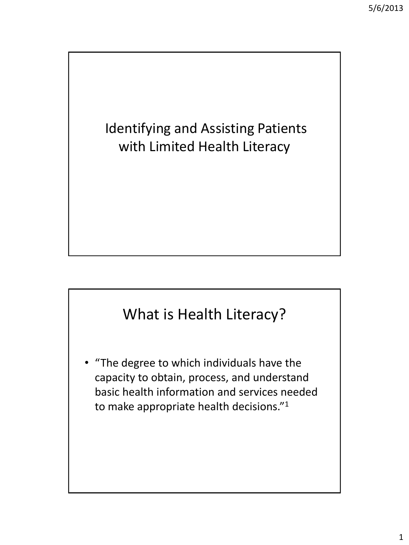## Identifying and Assisting Patients with Limited Health Literacy

## What is Health Literacy?

• "The degree to which individuals have the capacity to obtain, process, and understand basic health information and services needed to make appropriate health decisions."1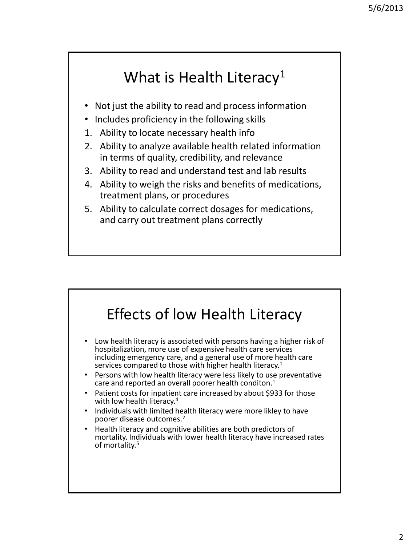## What is Health Literacy<sup>1</sup>

- Not just the ability to read and process information
- Includes proficiency in the following skills
- 1. Ability to locate necessary health info
- 2. Ability to analyze available health related information in terms of quality, credibility, and relevance
- 3. Ability to read and understand test and lab results
- 4. Ability to weigh the risks and benefits of medications, treatment plans, or procedures
- 5. Ability to calculate correct dosages for medications, and carry out treatment plans correctly

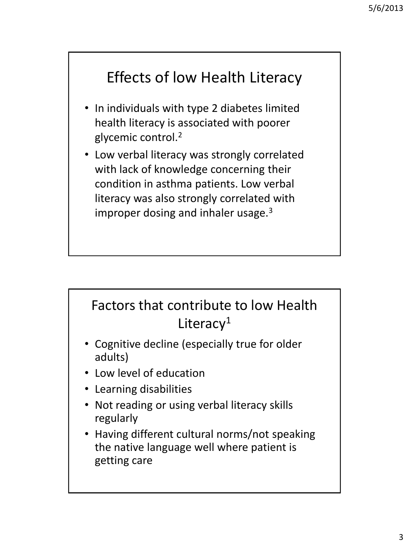# Effects of low Health Literacy

- In individuals with type 2 diabetes limited health literacy is associated with poorer glycemic control.<sup>2</sup>
- Low verbal literacy was strongly correlated with lack of knowledge concerning their condition in asthma patients. Low verbal literacy was also strongly correlated with improper dosing and inhaler usage. $3$

## Factors that contribute to low Health Literacy<sup>1</sup>

- Cognitive decline (especially true for older adults)
- Low level of education
- Learning disabilities
- Not reading or using verbal literacy skills regularly
- Having different cultural norms/not speaking the native language well where patient is getting care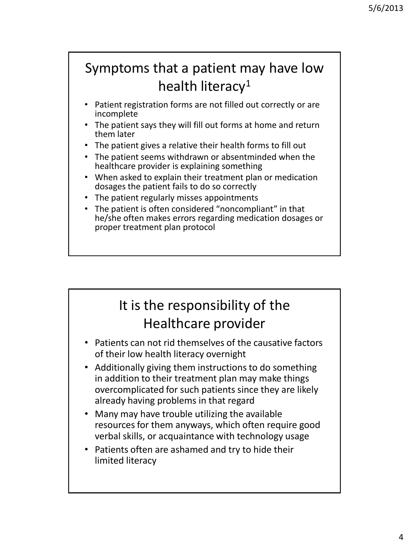## Symptoms that a patient may have low health literacy<sup>1</sup>

- Patient registration forms are not filled out correctly or are incomplete
- The patient says they will fill out forms at home and return them later
- The patient gives a relative their health forms to fill out
- The patient seems withdrawn or absentminded when the healthcare provider is explaining something
- When asked to explain their treatment plan or medication dosages the patient fails to do so correctly
- The patient regularly misses appointments
- The patient is often considered "noncompliant" in that he/she often makes errors regarding medication dosages or proper treatment plan protocol

### It is the responsibility of the Healthcare provider

- Patients can not rid themselves of the causative factors of their low health literacy overnight
- Additionally giving them instructions to do something in addition to their treatment plan may make things overcomplicated for such patients since they are likely already having problems in that regard
- Many may have trouble utilizing the available resources for them anyways, which often require good verbal skills, or acquaintance with technology usage
- Patients often are ashamed and try to hide their limited literacy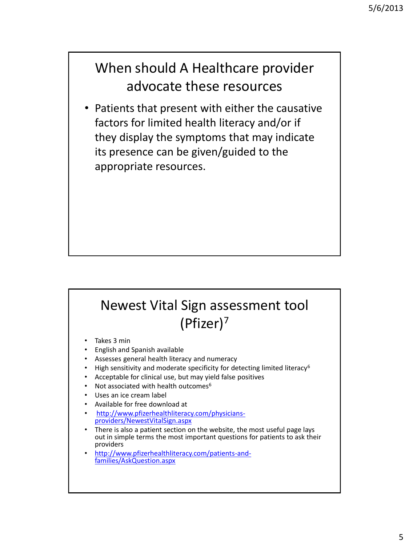#### When should A Healthcare provider advocate these resources

• Patients that present with either the causative factors for limited health literacy and/or if they display the symptoms that may indicate its presence can be given/guided to the appropriate resources.

### Newest Vital Sign assessment tool (Pfizer)<sup>7</sup>

- Takes 3 min
- English and Spanish available
- Assesses general health literacy and numeracy
- High sensitivity and moderate specificity for detecting limited literacy<sup>6</sup>
- Acceptable for clinical use, but may yield false positives
- Not associated with health outcomes $6$
- Uses an ice cream label
- Available for free download at
- [http://www.pfizerhealthliteracy.com/physicians](http://www.pfizerhealthliteracy.com/physicians-providers/NewestVitalSign.aspx)[providers/NewestVitalSign.aspx](http://www.pfizerhealthliteracy.com/physicians-providers/NewestVitalSign.aspx)
- There is also a patient section on the website, the most useful page lays out in simple terms the most important questions for patients to ask their providers
	- [http://www.pfizerhealthliteracy.com/patients-and](http://www.pfizerhealthliteracy.com/patients-and-families/AskQuestion.aspx)[families/AskQuestion.aspx](http://www.pfizerhealthliteracy.com/patients-and-families/AskQuestion.aspx)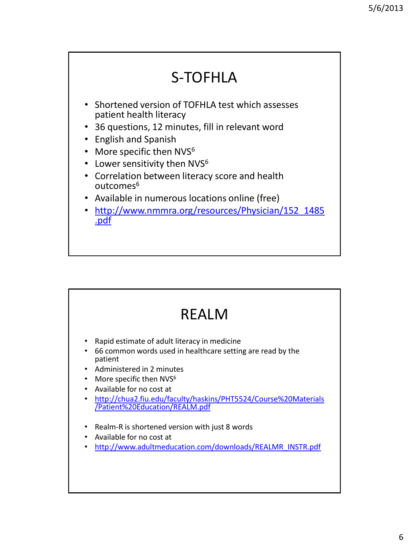

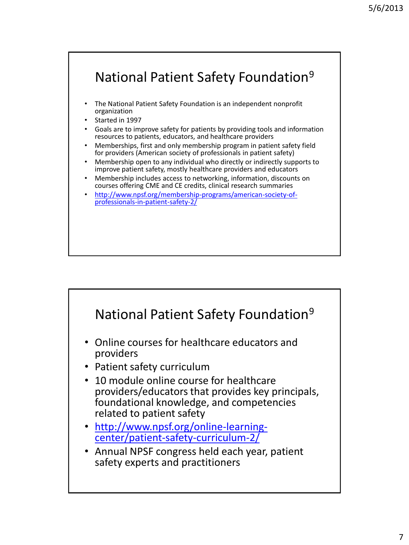

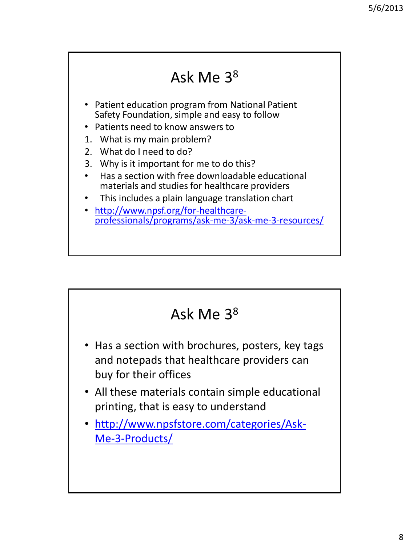#### Ask Me 3<sup>8</sup> • Patient education program from National Patient Safety Foundation, simple and easy to follow • Patients need to know answers to 1. What is my main problem? 2. What do I need to do? 3. Why is it important for me to do this? • Has a section with free downloadable educational materials and studies for healthcare providers • This includes a plain language translation chart • [http://www.npsf.org/for-healthcare](http://www.npsf.org/for-healthcare-professionals/programs/ask-me-3/ask-me-3-resources/)[professionals/programs/ask-me-3/ask-me-3-resources/](http://www.npsf.org/for-healthcare-professionals/programs/ask-me-3/ask-me-3-resources/)

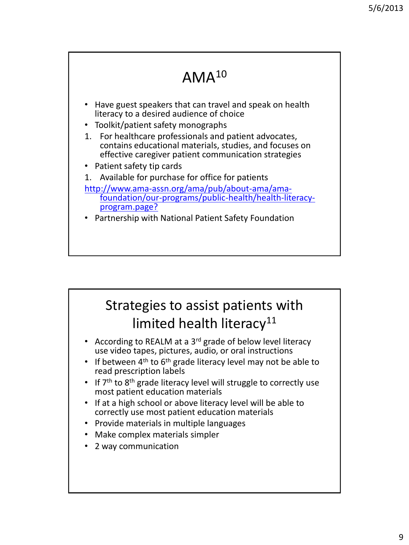## AMA<sup>10</sup>

- Have guest speakers that can travel and speak on health literacy to a desired audience of choice
- Toolkit/patient safety monographs
- 1. For healthcare professionals and patient advocates, contains educational materials, studies, and focuses on effective caregiver patient communication strategies
- Patient safety tip cards
- 1. Available for purchase for office for patients
- [http://www.ama-assn.org/ama/pub/about-ama/ama](http://www.ama-assn.org/ama/pub/about-ama/ama-foundation/our-programs/public-health/health-literacy-program.page?)[foundation/our-programs/public-health/health-literacy](http://www.ama-assn.org/ama/pub/about-ama/ama-foundation/our-programs/public-health/health-literacy-program.page?)[program.page?](http://www.ama-assn.org/ama/pub/about-ama/ama-foundation/our-programs/public-health/health-literacy-program.page?)
- [P](http://www.ama-assn.org/ama/pub/about-ama/ama-foundation/our-programs/public-health/health-literacy-program/health-literacy-kit.page?)artnership with National Patient Safety Foundation

### Strategies to assist patients with limited health literacy<sup>11</sup>

- According to REALM at a 3<sup>rd</sup> grade of below level literacy use video tapes, pictures, audio, or oral instructions
- If between  $4<sup>th</sup>$  to  $6<sup>th</sup>$  grade literacy level may not be able to read prescription labels
- If 7<sup>th</sup> to 8<sup>th</sup> grade literacy level will struggle to correctly use most patient education materials
- If at a high school or above literacy level will be able to correctly use most patient education materials
- Provide materials in multiple languages
- Make complex materials simpler
- 2 way communication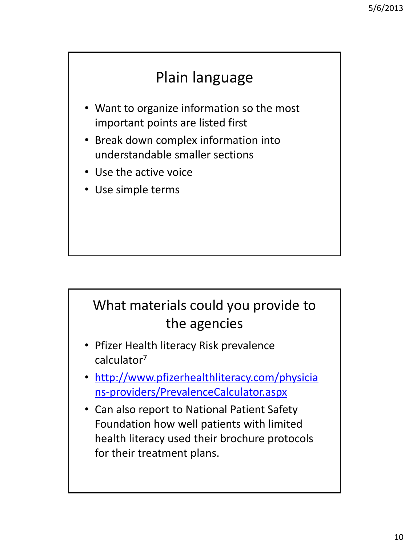# Plain language

- Want to organize information so the most important points are listed first
- Break down complex information into understandable smaller sections
- Use the active voice
- Use simple terms

## What materials could you provide to the agencies

- Pfizer Health literacy Risk prevalence calculator<sup>7</sup>
- [http://www.pfizerhealthliteracy.com/physicia](http://www.pfizerhealthliteracy.com/physicians-providers/PrevalenceCalculator.aspx) [ns-providers/PrevalenceCalculator.aspx](http://www.pfizerhealthliteracy.com/physicians-providers/PrevalenceCalculator.aspx)
- Can also report to National Patient Safety Foundation how well patients with limited health literacy used their brochure protocols for their treatment plans.